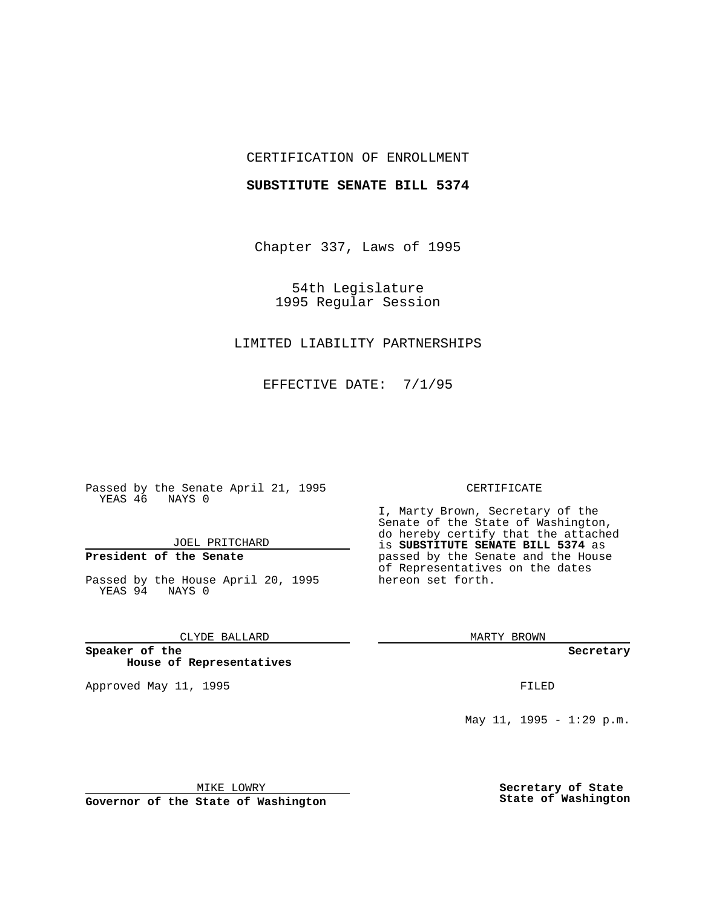## CERTIFICATION OF ENROLLMENT

### **SUBSTITUTE SENATE BILL 5374**

Chapter 337, Laws of 1995

54th Legislature 1995 Regular Session

## LIMITED LIABILITY PARTNERSHIPS

EFFECTIVE DATE: 7/1/95

Passed by the Senate April 21, 1995 YEAS 46 NAYS 0

JOEL PRITCHARD

# **President of the Senate**

Passed by the House April 20, 1995 YEAS 94 NAYS 0

CLYDE BALLARD

**Speaker of the House of Representatives**

Approved May 11, 1995 **FILED** 

#### CERTIFICATE

I, Marty Brown, Secretary of the Senate of the State of Washington, do hereby certify that the attached is **SUBSTITUTE SENATE BILL 5374** as passed by the Senate and the House of Representatives on the dates hereon set forth.

MARTY BROWN

**Secretary**

May 11, 1995 - 1:29 p.m.

MIKE LOWRY

**Governor of the State of Washington**

**Secretary of State State of Washington**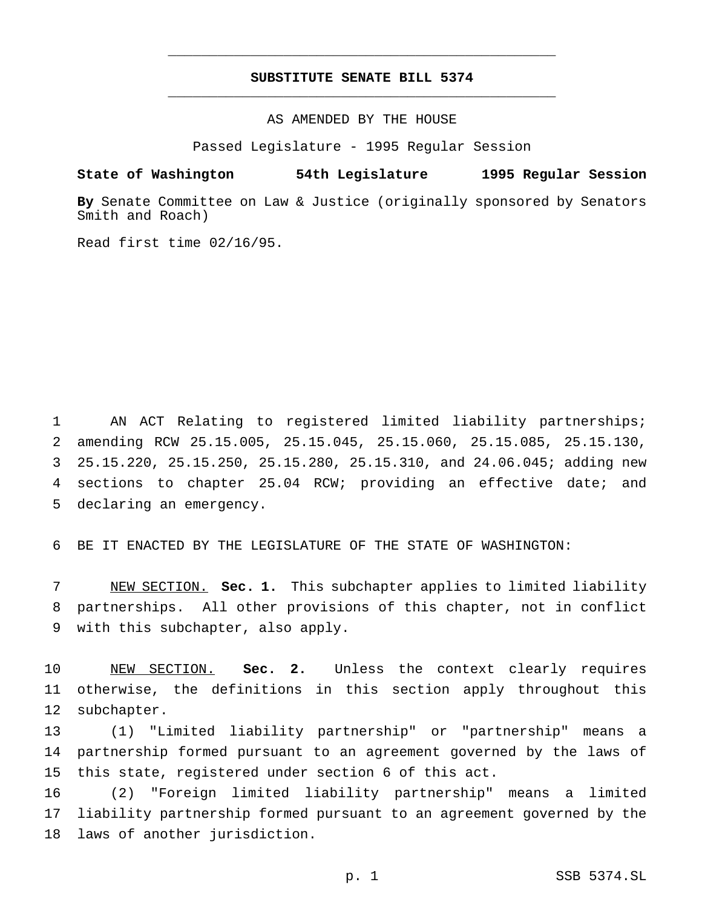## **SUBSTITUTE SENATE BILL 5374** \_\_\_\_\_\_\_\_\_\_\_\_\_\_\_\_\_\_\_\_\_\_\_\_\_\_\_\_\_\_\_\_\_\_\_\_\_\_\_\_\_\_\_\_\_\_\_

\_\_\_\_\_\_\_\_\_\_\_\_\_\_\_\_\_\_\_\_\_\_\_\_\_\_\_\_\_\_\_\_\_\_\_\_\_\_\_\_\_\_\_\_\_\_\_

AS AMENDED BY THE HOUSE

Passed Legislature - 1995 Regular Session

#### **State of Washington 54th Legislature 1995 Regular Session**

**By** Senate Committee on Law & Justice (originally sponsored by Senators Smith and Roach)

Read first time 02/16/95.

 AN ACT Relating to registered limited liability partnerships; amending RCW 25.15.005, 25.15.045, 25.15.060, 25.15.085, 25.15.130, 25.15.220, 25.15.250, 25.15.280, 25.15.310, and 24.06.045; adding new sections to chapter 25.04 RCW; providing an effective date; and declaring an emergency.

BE IT ENACTED BY THE LEGISLATURE OF THE STATE OF WASHINGTON:

 NEW SECTION. **Sec. 1.** This subchapter applies to limited liability partnerships. All other provisions of this chapter, not in conflict with this subchapter, also apply.

 NEW SECTION. **Sec. 2.** Unless the context clearly requires otherwise, the definitions in this section apply throughout this subchapter.

 (1) "Limited liability partnership" or "partnership" means a partnership formed pursuant to an agreement governed by the laws of this state, registered under section 6 of this act.

 (2) "Foreign limited liability partnership" means a limited liability partnership formed pursuant to an agreement governed by the laws of another jurisdiction.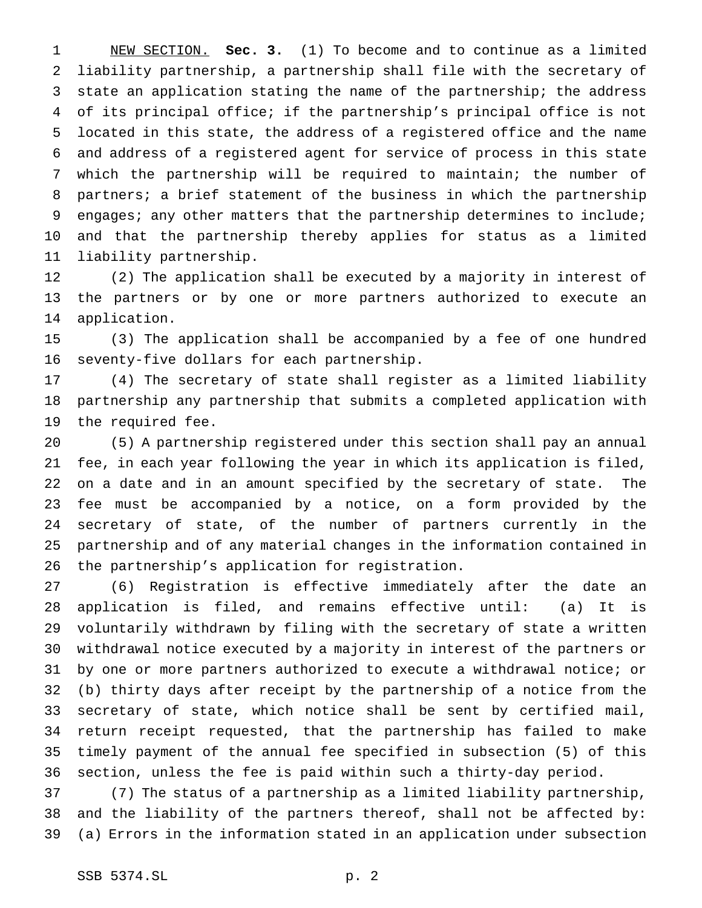NEW SECTION. **Sec. 3.** (1) To become and to continue as a limited liability partnership, a partnership shall file with the secretary of state an application stating the name of the partnership; the address of its principal office; if the partnership's principal office is not located in this state, the address of a registered office and the name and address of a registered agent for service of process in this state which the partnership will be required to maintain; the number of partners; a brief statement of the business in which the partnership 9 engages; any other matters that the partnership determines to include; and that the partnership thereby applies for status as a limited liability partnership.

 (2) The application shall be executed by a majority in interest of the partners or by one or more partners authorized to execute an application.

 (3) The application shall be accompanied by a fee of one hundred seventy-five dollars for each partnership.

 (4) The secretary of state shall register as a limited liability partnership any partnership that submits a completed application with the required fee.

 (5) A partnership registered under this section shall pay an annual fee, in each year following the year in which its application is filed, on a date and in an amount specified by the secretary of state. The fee must be accompanied by a notice, on a form provided by the secretary of state, of the number of partners currently in the partnership and of any material changes in the information contained in the partnership's application for registration.

 (6) Registration is effective immediately after the date an application is filed, and remains effective until: (a) It is voluntarily withdrawn by filing with the secretary of state a written withdrawal notice executed by a majority in interest of the partners or by one or more partners authorized to execute a withdrawal notice; or (b) thirty days after receipt by the partnership of a notice from the secretary of state, which notice shall be sent by certified mail, return receipt requested, that the partnership has failed to make timely payment of the annual fee specified in subsection (5) of this section, unless the fee is paid within such a thirty-day period.

 (7) The status of a partnership as a limited liability partnership, and the liability of the partners thereof, shall not be affected by: (a) Errors in the information stated in an application under subsection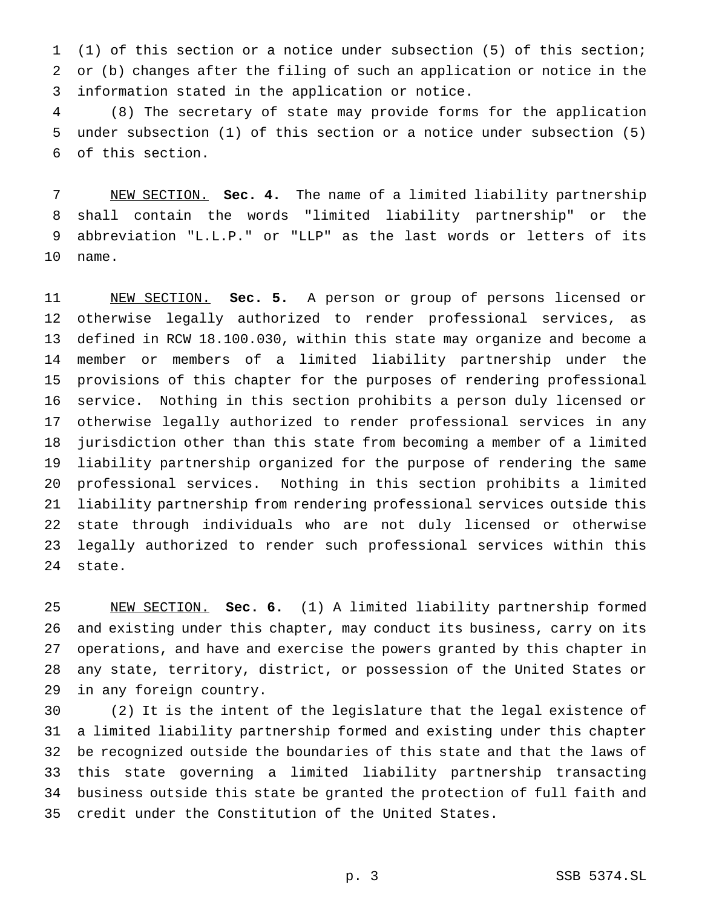(1) of this section or a notice under subsection (5) of this section; or (b) changes after the filing of such an application or notice in the information stated in the application or notice.

 (8) The secretary of state may provide forms for the application under subsection (1) of this section or a notice under subsection (5) of this section.

 NEW SECTION. **Sec. 4.** The name of a limited liability partnership shall contain the words "limited liability partnership" or the abbreviation "L.L.P." or "LLP" as the last words or letters of its name.

 NEW SECTION. **Sec. 5.** A person or group of persons licensed or otherwise legally authorized to render professional services, as defined in RCW 18.100.030, within this state may organize and become a member or members of a limited liability partnership under the provisions of this chapter for the purposes of rendering professional service. Nothing in this section prohibits a person duly licensed or otherwise legally authorized to render professional services in any jurisdiction other than this state from becoming a member of a limited liability partnership organized for the purpose of rendering the same professional services. Nothing in this section prohibits a limited liability partnership from rendering professional services outside this state through individuals who are not duly licensed or otherwise legally authorized to render such professional services within this state.

 NEW SECTION. **Sec. 6.** (1) A limited liability partnership formed and existing under this chapter, may conduct its business, carry on its operations, and have and exercise the powers granted by this chapter in any state, territory, district, or possession of the United States or in any foreign country.

 (2) It is the intent of the legislature that the legal existence of a limited liability partnership formed and existing under this chapter be recognized outside the boundaries of this state and that the laws of this state governing a limited liability partnership transacting business outside this state be granted the protection of full faith and credit under the Constitution of the United States.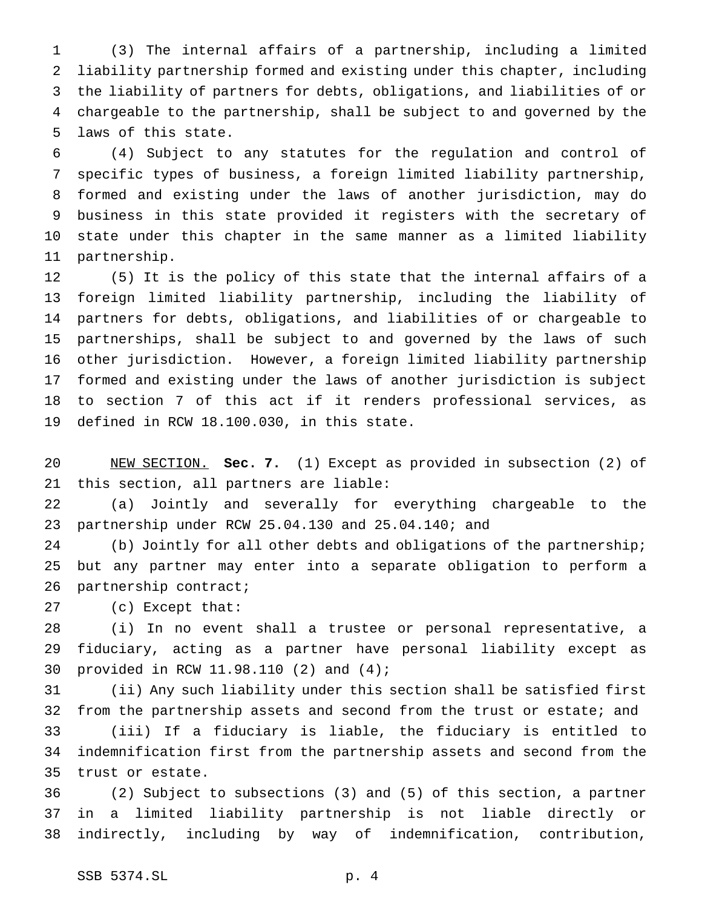(3) The internal affairs of a partnership, including a limited liability partnership formed and existing under this chapter, including the liability of partners for debts, obligations, and liabilities of or chargeable to the partnership, shall be subject to and governed by the laws of this state.

 (4) Subject to any statutes for the regulation and control of specific types of business, a foreign limited liability partnership, formed and existing under the laws of another jurisdiction, may do business in this state provided it registers with the secretary of state under this chapter in the same manner as a limited liability partnership.

 (5) It is the policy of this state that the internal affairs of a foreign limited liability partnership, including the liability of partners for debts, obligations, and liabilities of or chargeable to partnerships, shall be subject to and governed by the laws of such other jurisdiction. However, a foreign limited liability partnership formed and existing under the laws of another jurisdiction is subject to section 7 of this act if it renders professional services, as defined in RCW 18.100.030, in this state.

 NEW SECTION. **Sec. 7.** (1) Except as provided in subsection (2) of this section, all partners are liable:

 (a) Jointly and severally for everything chargeable to the partnership under RCW 25.04.130 and 25.04.140; and

 (b) Jointly for all other debts and obligations of the partnership; but any partner may enter into a separate obligation to perform a partnership contract;

(c) Except that:

 (i) In no event shall a trustee or personal representative, a fiduciary, acting as a partner have personal liability except as provided in RCW 11.98.110 (2) and (4);

 (ii) Any such liability under this section shall be satisfied first from the partnership assets and second from the trust or estate; and (iii) If a fiduciary is liable, the fiduciary is entitled to indemnification first from the partnership assets and second from the trust or estate.

 (2) Subject to subsections (3) and (5) of this section, a partner in a limited liability partnership is not liable directly or indirectly, including by way of indemnification, contribution,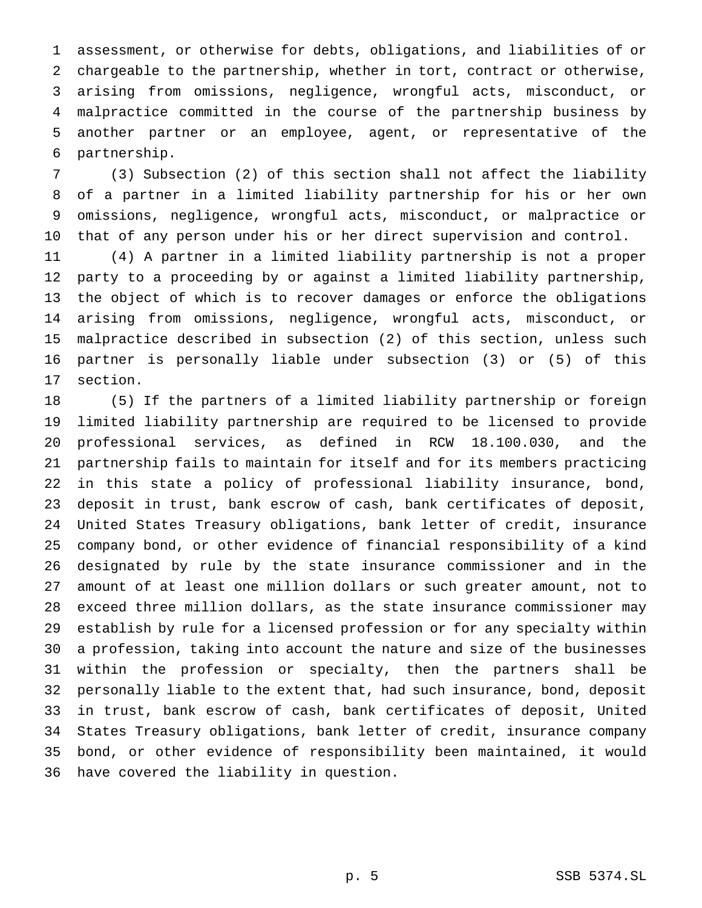assessment, or otherwise for debts, obligations, and liabilities of or chargeable to the partnership, whether in tort, contract or otherwise, arising from omissions, negligence, wrongful acts, misconduct, or malpractice committed in the course of the partnership business by another partner or an employee, agent, or representative of the partnership.

 (3) Subsection (2) of this section shall not affect the liability of a partner in a limited liability partnership for his or her own omissions, negligence, wrongful acts, misconduct, or malpractice or that of any person under his or her direct supervision and control.

 (4) A partner in a limited liability partnership is not a proper party to a proceeding by or against a limited liability partnership, the object of which is to recover damages or enforce the obligations arising from omissions, negligence, wrongful acts, misconduct, or malpractice described in subsection (2) of this section, unless such partner is personally liable under subsection (3) or (5) of this section.

 (5) If the partners of a limited liability partnership or foreign limited liability partnership are required to be licensed to provide professional services, as defined in RCW 18.100.030, and the partnership fails to maintain for itself and for its members practicing in this state a policy of professional liability insurance, bond, deposit in trust, bank escrow of cash, bank certificates of deposit, United States Treasury obligations, bank letter of credit, insurance company bond, or other evidence of financial responsibility of a kind designated by rule by the state insurance commissioner and in the amount of at least one million dollars or such greater amount, not to exceed three million dollars, as the state insurance commissioner may establish by rule for a licensed profession or for any specialty within a profession, taking into account the nature and size of the businesses within the profession or specialty, then the partners shall be personally liable to the extent that, had such insurance, bond, deposit in trust, bank escrow of cash, bank certificates of deposit, United States Treasury obligations, bank letter of credit, insurance company bond, or other evidence of responsibility been maintained, it would have covered the liability in question.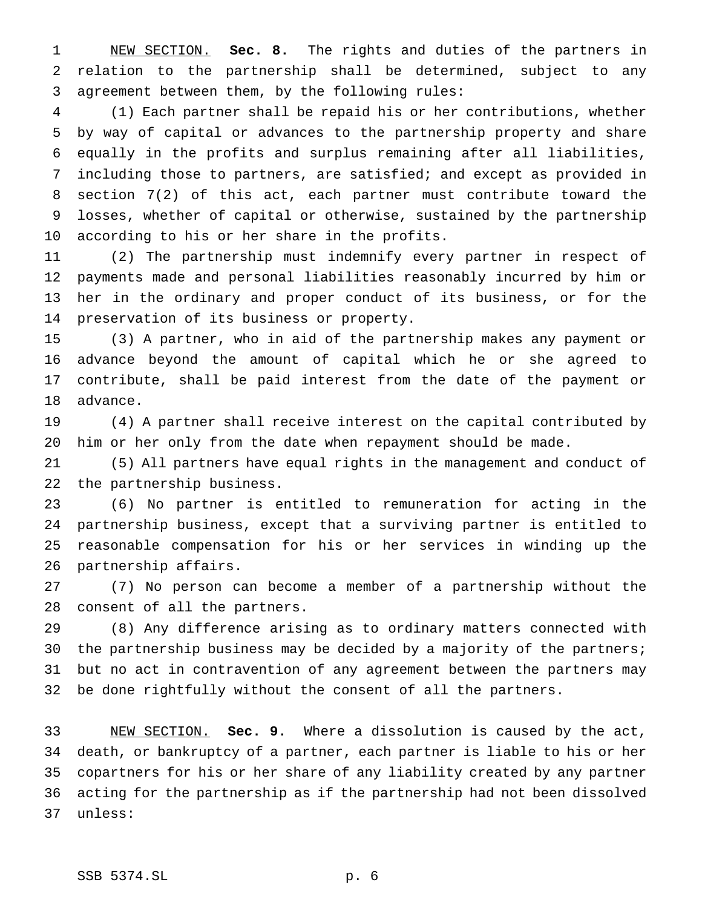NEW SECTION. **Sec. 8.** The rights and duties of the partners in relation to the partnership shall be determined, subject to any agreement between them, by the following rules:

 (1) Each partner shall be repaid his or her contributions, whether by way of capital or advances to the partnership property and share equally in the profits and surplus remaining after all liabilities, including those to partners, are satisfied; and except as provided in section 7(2) of this act, each partner must contribute toward the losses, whether of capital or otherwise, sustained by the partnership according to his or her share in the profits.

 (2) The partnership must indemnify every partner in respect of payments made and personal liabilities reasonably incurred by him or her in the ordinary and proper conduct of its business, or for the preservation of its business or property.

 (3) A partner, who in aid of the partnership makes any payment or advance beyond the amount of capital which he or she agreed to contribute, shall be paid interest from the date of the payment or advance.

 (4) A partner shall receive interest on the capital contributed by him or her only from the date when repayment should be made.

 (5) All partners have equal rights in the management and conduct of the partnership business.

 (6) No partner is entitled to remuneration for acting in the partnership business, except that a surviving partner is entitled to reasonable compensation for his or her services in winding up the partnership affairs.

 (7) No person can become a member of a partnership without the consent of all the partners.

 (8) Any difference arising as to ordinary matters connected with the partnership business may be decided by a majority of the partners; but no act in contravention of any agreement between the partners may be done rightfully without the consent of all the partners.

 NEW SECTION. **Sec. 9.** Where a dissolution is caused by the act, death, or bankruptcy of a partner, each partner is liable to his or her copartners for his or her share of any liability created by any partner acting for the partnership as if the partnership had not been dissolved unless: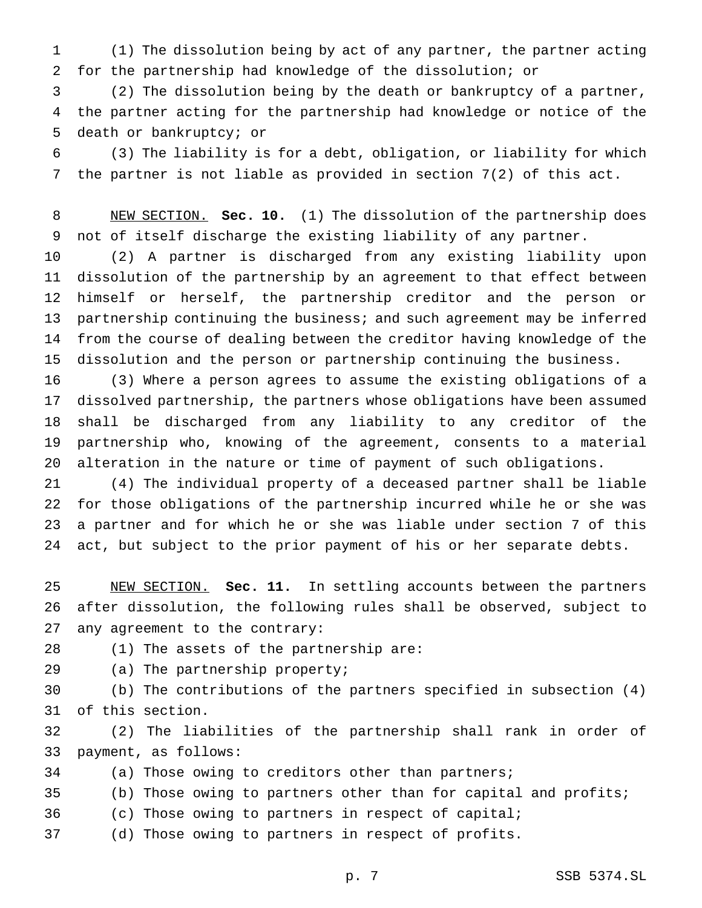(1) The dissolution being by act of any partner, the partner acting for the partnership had knowledge of the dissolution; or

 (2) The dissolution being by the death or bankruptcy of a partner, the partner acting for the partnership had knowledge or notice of the death or bankruptcy; or

 (3) The liability is for a debt, obligation, or liability for which the partner is not liable as provided in section 7(2) of this act.

 NEW SECTION. **Sec. 10.** (1) The dissolution of the partnership does not of itself discharge the existing liability of any partner.

 (2) A partner is discharged from any existing liability upon dissolution of the partnership by an agreement to that effect between himself or herself, the partnership creditor and the person or partnership continuing the business; and such agreement may be inferred from the course of dealing between the creditor having knowledge of the dissolution and the person or partnership continuing the business.

 (3) Where a person agrees to assume the existing obligations of a dissolved partnership, the partners whose obligations have been assumed shall be discharged from any liability to any creditor of the partnership who, knowing of the agreement, consents to a material alteration in the nature or time of payment of such obligations.

 (4) The individual property of a deceased partner shall be liable for those obligations of the partnership incurred while he or she was a partner and for which he or she was liable under section 7 of this act, but subject to the prior payment of his or her separate debts.

 NEW SECTION. **Sec. 11.** In settling accounts between the partners after dissolution, the following rules shall be observed, subject to any agreement to the contrary:

(1) The assets of the partnership are:

(a) The partnership property;

 (b) The contributions of the partners specified in subsection (4) of this section.

 (2) The liabilities of the partnership shall rank in order of payment, as follows:

(a) Those owing to creditors other than partners;

(b) Those owing to partners other than for capital and profits;

(c) Those owing to partners in respect of capital;

(d) Those owing to partners in respect of profits.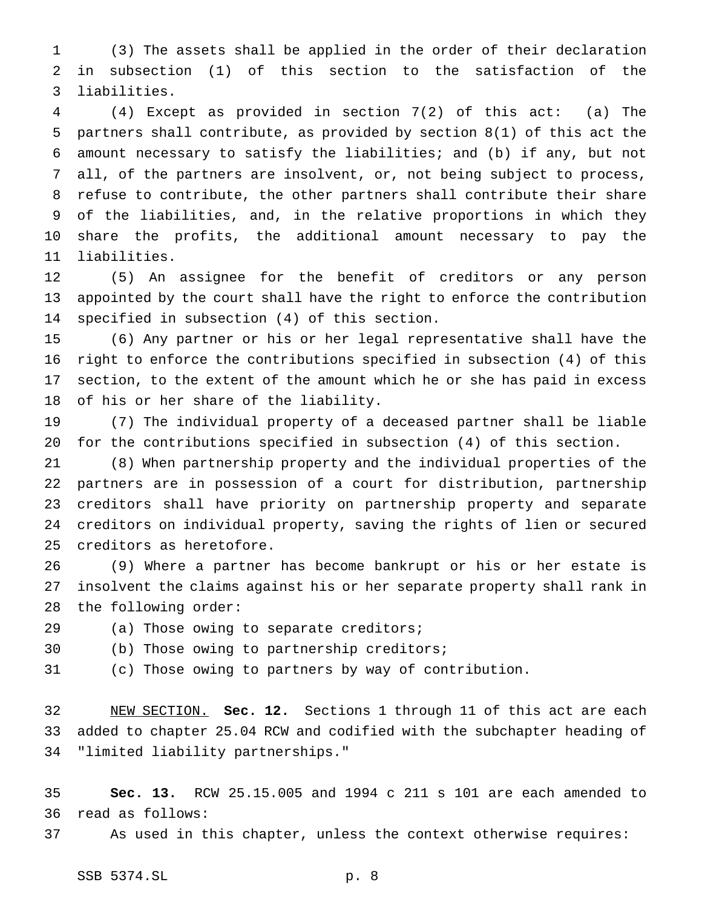(3) The assets shall be applied in the order of their declaration in subsection (1) of this section to the satisfaction of the liabilities.

 (4) Except as provided in section 7(2) of this act: (a) The partners shall contribute, as provided by section 8(1) of this act the amount necessary to satisfy the liabilities; and (b) if any, but not all, of the partners are insolvent, or, not being subject to process, refuse to contribute, the other partners shall contribute their share of the liabilities, and, in the relative proportions in which they share the profits, the additional amount necessary to pay the liabilities.

 (5) An assignee for the benefit of creditors or any person appointed by the court shall have the right to enforce the contribution specified in subsection (4) of this section.

 (6) Any partner or his or her legal representative shall have the right to enforce the contributions specified in subsection (4) of this section, to the extent of the amount which he or she has paid in excess of his or her share of the liability.

 (7) The individual property of a deceased partner shall be liable for the contributions specified in subsection (4) of this section.

 (8) When partnership property and the individual properties of the partners are in possession of a court for distribution, partnership creditors shall have priority on partnership property and separate creditors on individual property, saving the rights of lien or secured creditors as heretofore.

 (9) Where a partner has become bankrupt or his or her estate is insolvent the claims against his or her separate property shall rank in the following order:

(a) Those owing to separate creditors;

(b) Those owing to partnership creditors;

(c) Those owing to partners by way of contribution.

 NEW SECTION. **Sec. 12.** Sections 1 through 11 of this act are each added to chapter 25.04 RCW and codified with the subchapter heading of "limited liability partnerships."

 **Sec. 13.** RCW 25.15.005 and 1994 c 211 s 101 are each amended to read as follows:

As used in this chapter, unless the context otherwise requires:

SSB 5374.SL p. 8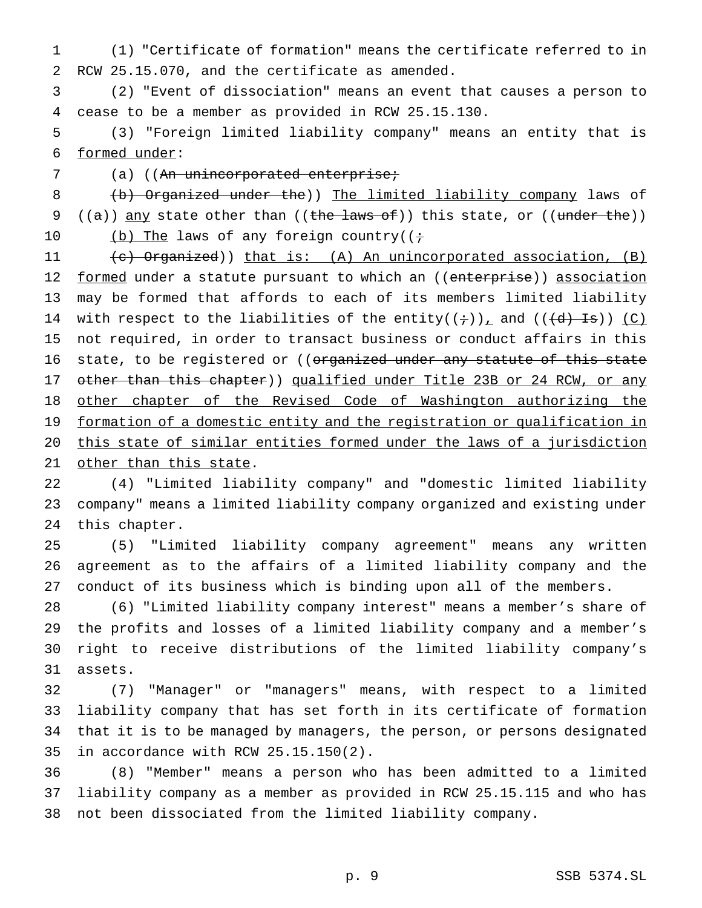(1) "Certificate of formation" means the certificate referred to in RCW 25.15.070, and the certificate as amended.

 (2) "Event of dissociation" means an event that causes a person to cease to be a member as provided in RCW 25.15.130.

 (3) "Foreign limited liability company" means an entity that is formed under:

7 (a) ((An unincorporated enterprise;

8 (b) Organized under the)) The limited liability company laws of 9 ((a)) any state other than ((the laws of)) this state, or ((under the)) 10 (b) The laws of any foreign country( $(i+$ 

11 (c) Organized)) that is: (A) An unincorporated association, (B) 12 formed under a statute pursuant to which an ((enterprise)) association may be formed that affords to each of its members limited liability 14 with respect to the liabilities of the entity( $(\div)$ ), and ( $(\overline{d} + \overline{1s})$ ) (C) not required, in order to transact business or conduct affairs in this 16 state, to be registered or ((organized under any statute of this state 17 other than this chapter)) qualified under Title 23B or 24 RCW, or any other chapter of the Revised Code of Washington authorizing the formation of a domestic entity and the registration or qualification in 20 this state of similar entities formed under the laws of a jurisdiction 21 other than this state.

 (4) "Limited liability company" and "domestic limited liability company" means a limited liability company organized and existing under this chapter.

 (5) "Limited liability company agreement" means any written agreement as to the affairs of a limited liability company and the conduct of its business which is binding upon all of the members.

 (6) "Limited liability company interest" means a member's share of the profits and losses of a limited liability company and a member's right to receive distributions of the limited liability company's assets.

 (7) "Manager" or "managers" means, with respect to a limited liability company that has set forth in its certificate of formation that it is to be managed by managers, the person, or persons designated in accordance with RCW 25.15.150(2).

 (8) "Member" means a person who has been admitted to a limited liability company as a member as provided in RCW 25.15.115 and who has not been dissociated from the limited liability company.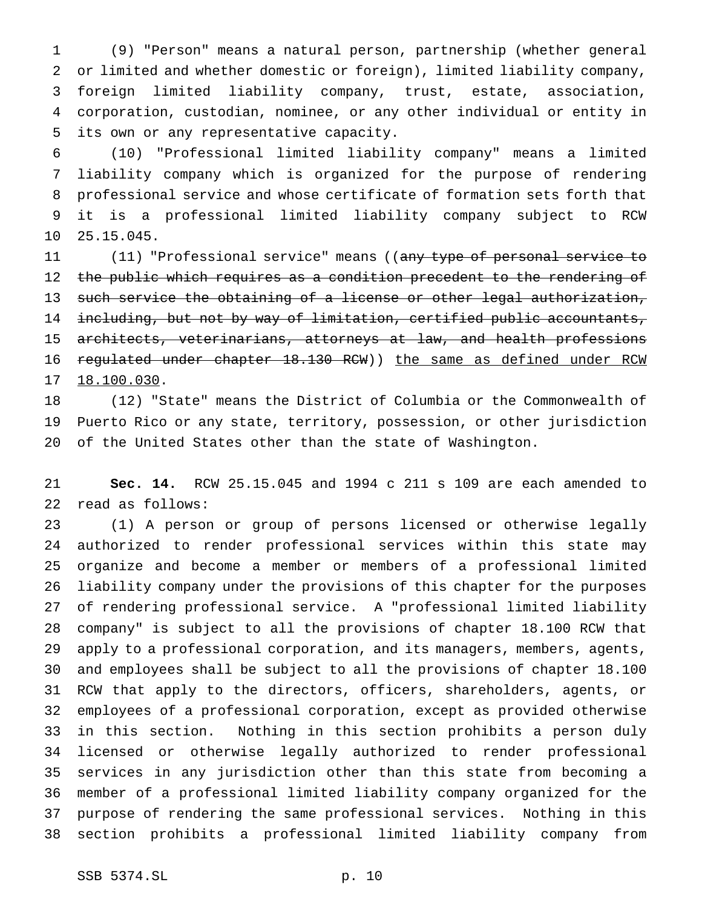(9) "Person" means a natural person, partnership (whether general or limited and whether domestic or foreign), limited liability company, foreign limited liability company, trust, estate, association, corporation, custodian, nominee, or any other individual or entity in its own or any representative capacity.

 (10) "Professional limited liability company" means a limited liability company which is organized for the purpose of rendering professional service and whose certificate of formation sets forth that it is a professional limited liability company subject to RCW 25.15.045.

11 (11) "Professional service" means ((<del>any type of personal service to</del> 12 the public which requires as a condition precedent to the rendering of 13 such service the obtaining of a license or other legal authorization, 14 including, but not by way of limitation, certified public accountants, architects, veterinarians, attorneys at law, and health professions 16 regulated under chapter 18.130 RCW)) the same as defined under RCW 18.100.030.

 (12) "State" means the District of Columbia or the Commonwealth of Puerto Rico or any state, territory, possession, or other jurisdiction of the United States other than the state of Washington.

 **Sec. 14.** RCW 25.15.045 and 1994 c 211 s 109 are each amended to read as follows:

 (1) A person or group of persons licensed or otherwise legally authorized to render professional services within this state may organize and become a member or members of a professional limited liability company under the provisions of this chapter for the purposes of rendering professional service. A "professional limited liability company" is subject to all the provisions of chapter 18.100 RCW that apply to a professional corporation, and its managers, members, agents, and employees shall be subject to all the provisions of chapter 18.100 RCW that apply to the directors, officers, shareholders, agents, or employees of a professional corporation, except as provided otherwise in this section. Nothing in this section prohibits a person duly licensed or otherwise legally authorized to render professional services in any jurisdiction other than this state from becoming a member of a professional limited liability company organized for the purpose of rendering the same professional services. Nothing in this section prohibits a professional limited liability company from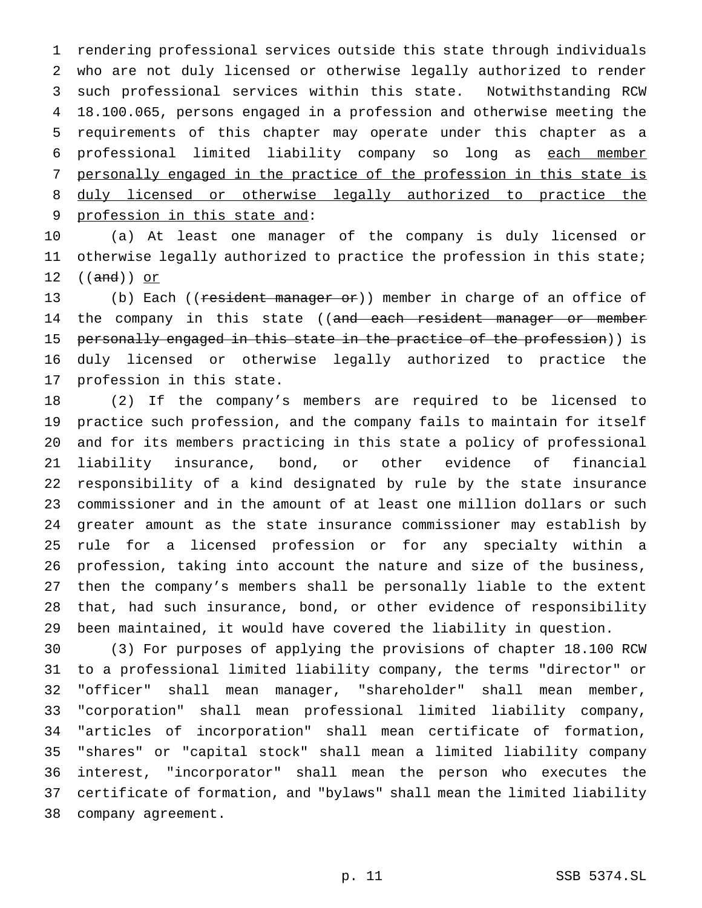rendering professional services outside this state through individuals who are not duly licensed or otherwise legally authorized to render such professional services within this state. Notwithstanding RCW 18.100.065, persons engaged in a profession and otherwise meeting the requirements of this chapter may operate under this chapter as a professional limited liability company so long as each member personally engaged in the practice of the profession in this state is 8 duly licensed or otherwise legally authorized to practice the profession in this state and:

 (a) At least one manager of the company is duly licensed or otherwise legally authorized to practice the profession in this state; ((and)) or

13 (b) Each ((resident manager or)) member in charge of an office of 14 the company in this state ((and each resident manager or member 15 personally engaged in this state in the practice of the profession)) is duly licensed or otherwise legally authorized to practice the profession in this state.

 (2) If the company's members are required to be licensed to practice such profession, and the company fails to maintain for itself and for its members practicing in this state a policy of professional liability insurance, bond, or other evidence of financial responsibility of a kind designated by rule by the state insurance commissioner and in the amount of at least one million dollars or such greater amount as the state insurance commissioner may establish by rule for a licensed profession or for any specialty within a profession, taking into account the nature and size of the business, then the company's members shall be personally liable to the extent that, had such insurance, bond, or other evidence of responsibility been maintained, it would have covered the liability in question.

 (3) For purposes of applying the provisions of chapter 18.100 RCW to a professional limited liability company, the terms "director" or "officer" shall mean manager, "shareholder" shall mean member, "corporation" shall mean professional limited liability company, "articles of incorporation" shall mean certificate of formation, "shares" or "capital stock" shall mean a limited liability company interest, "incorporator" shall mean the person who executes the certificate of formation, and "bylaws" shall mean the limited liability company agreement.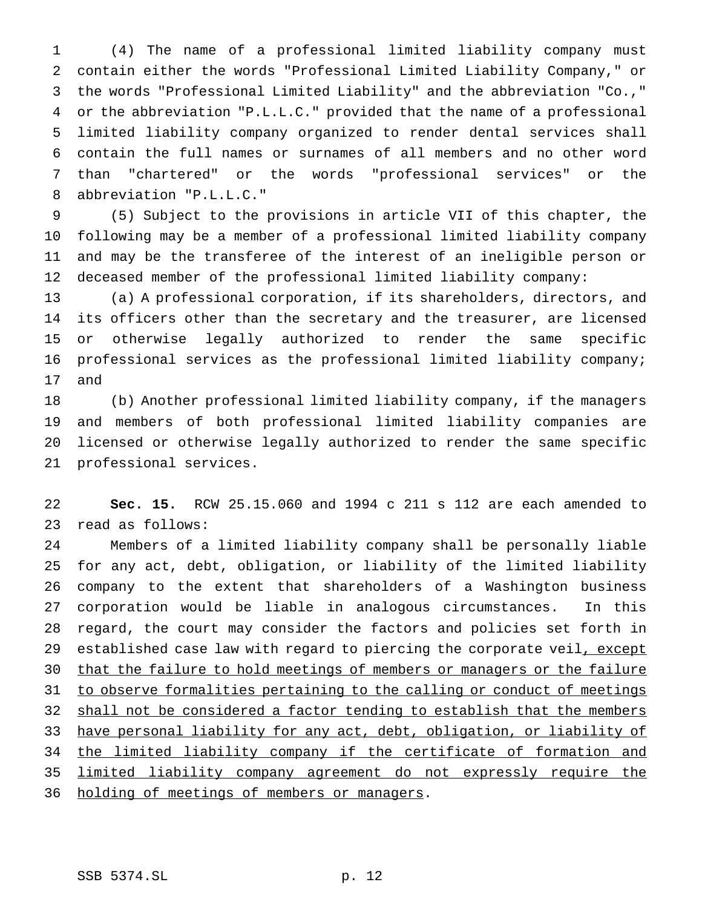(4) The name of a professional limited liability company must contain either the words "Professional Limited Liability Company," or the words "Professional Limited Liability" and the abbreviation "Co.," or the abbreviation "P.L.L.C." provided that the name of a professional limited liability company organized to render dental services shall contain the full names or surnames of all members and no other word than "chartered" or the words "professional services" or the abbreviation "P.L.L.C."

 (5) Subject to the provisions in article VII of this chapter, the following may be a member of a professional limited liability company and may be the transferee of the interest of an ineligible person or deceased member of the professional limited liability company:

 (a) A professional corporation, if its shareholders, directors, and its officers other than the secretary and the treasurer, are licensed or otherwise legally authorized to render the same specific professional services as the professional limited liability company; and

 (b) Another professional limited liability company, if the managers and members of both professional limited liability companies are licensed or otherwise legally authorized to render the same specific professional services.

 **Sec. 15.** RCW 25.15.060 and 1994 c 211 s 112 are each amended to read as follows:

 Members of a limited liability company shall be personally liable for any act, debt, obligation, or liability of the limited liability company to the extent that shareholders of a Washington business corporation would be liable in analogous circumstances. In this regard, the court may consider the factors and policies set forth in 29 established case law with regard to piercing the corporate veil, except 30 that the failure to hold meetings of members or managers or the failure to observe formalities pertaining to the calling or conduct of meetings 32 shall not be considered a factor tending to establish that the members have personal liability for any act, debt, obligation, or liability of the limited liability company if the certificate of formation and limited liability company agreement do not expressly require the 36 holding of meetings of members or managers.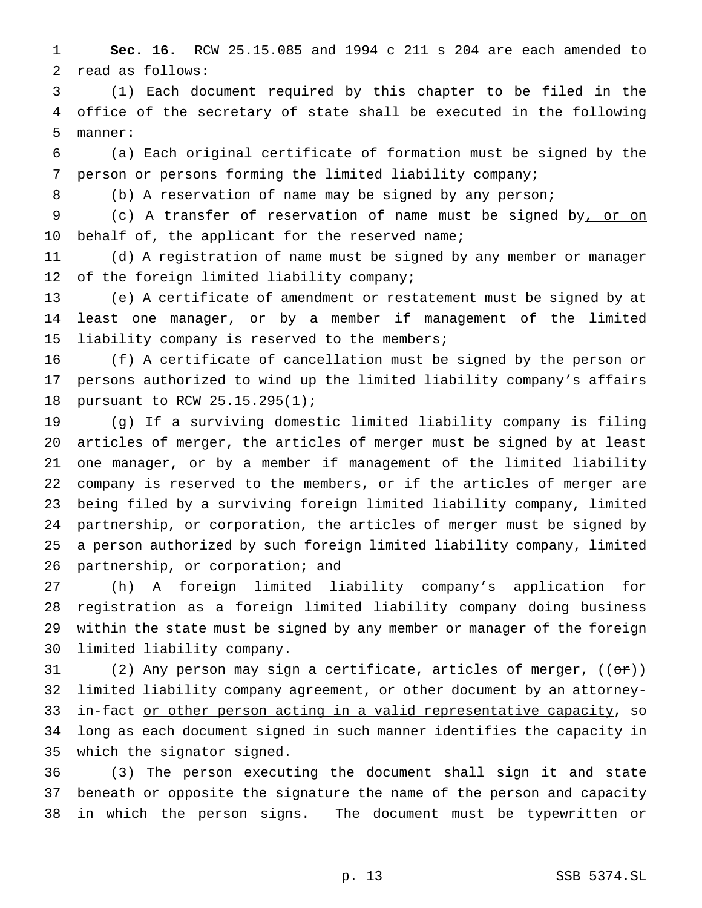**Sec. 16.** RCW 25.15.085 and 1994 c 211 s 204 are each amended to read as follows:

 (1) Each document required by this chapter to be filed in the office of the secretary of state shall be executed in the following manner:

 (a) Each original certificate of formation must be signed by the person or persons forming the limited liability company;

(b) A reservation of name may be signed by any person;

9 (c) A transfer of reservation of name must be signed by, or on 10 behalf of, the applicant for the reserved name;

 (d) A registration of name must be signed by any member or manager 12 of the foreign limited liability company;

 (e) A certificate of amendment or restatement must be signed by at least one manager, or by a member if management of the limited liability company is reserved to the members;

 (f) A certificate of cancellation must be signed by the person or persons authorized to wind up the limited liability company's affairs pursuant to RCW 25.15.295(1);

 (g) If a surviving domestic limited liability company is filing articles of merger, the articles of merger must be signed by at least one manager, or by a member if management of the limited liability company is reserved to the members, or if the articles of merger are being filed by a surviving foreign limited liability company, limited partnership, or corporation, the articles of merger must be signed by a person authorized by such foreign limited liability company, limited partnership, or corporation; and

 (h) A foreign limited liability company's application for registration as a foreign limited liability company doing business within the state must be signed by any member or manager of the foreign limited liability company.

31 (2) Any person may sign a certificate, articles of merger,  $((\theta \cdot \hat{r}))$ 32 limited liability company agreement, or other document by an attorney-33 in-fact or other person acting in a valid representative capacity, so long as each document signed in such manner identifies the capacity in which the signator signed.

 (3) The person executing the document shall sign it and state beneath or opposite the signature the name of the person and capacity in which the person signs. The document must be typewritten or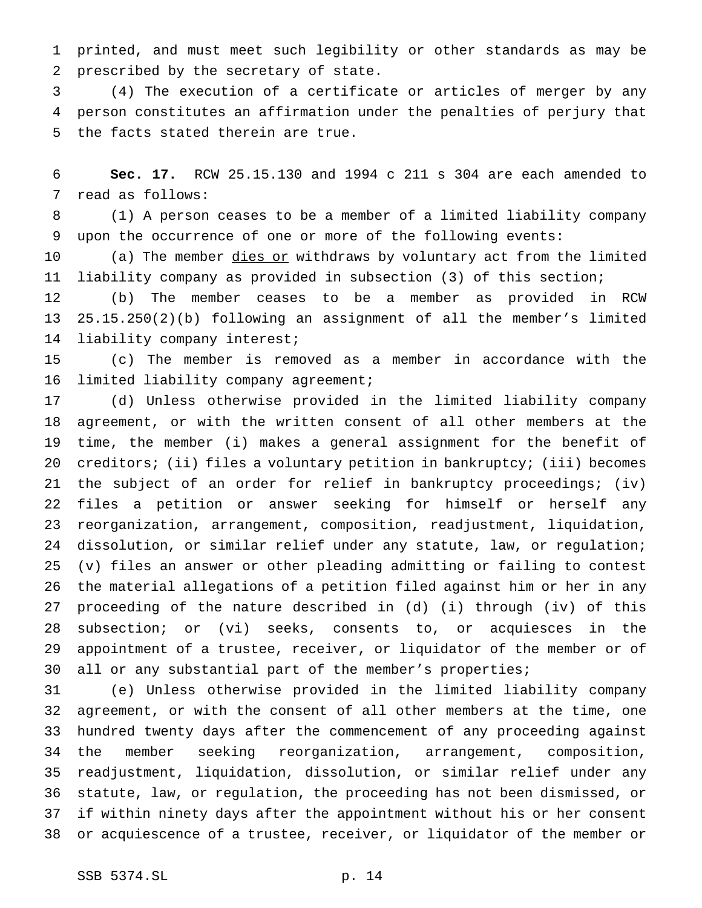printed, and must meet such legibility or other standards as may be prescribed by the secretary of state.

 (4) The execution of a certificate or articles of merger by any person constitutes an affirmation under the penalties of perjury that the facts stated therein are true.

 **Sec. 17.** RCW 25.15.130 and 1994 c 211 s 304 are each amended to read as follows:

 (1) A person ceases to be a member of a limited liability company upon the occurrence of one or more of the following events:

10 (a) The member dies or withdraws by voluntary act from the limited liability company as provided in subsection (3) of this section;

 (b) The member ceases to be a member as provided in RCW 25.15.250(2)(b) following an assignment of all the member's limited 14 liability company interest;

 (c) The member is removed as a member in accordance with the 16 limited liability company agreement;

 (d) Unless otherwise provided in the limited liability company agreement, or with the written consent of all other members at the time, the member (i) makes a general assignment for the benefit of creditors; (ii) files a voluntary petition in bankruptcy; (iii) becomes the subject of an order for relief in bankruptcy proceedings; (iv) files a petition or answer seeking for himself or herself any reorganization, arrangement, composition, readjustment, liquidation, dissolution, or similar relief under any statute, law, or regulation; (v) files an answer or other pleading admitting or failing to contest the material allegations of a petition filed against him or her in any proceeding of the nature described in (d) (i) through (iv) of this subsection; or (vi) seeks, consents to, or acquiesces in the appointment of a trustee, receiver, or liquidator of the member or of all or any substantial part of the member's properties;

 (e) Unless otherwise provided in the limited liability company agreement, or with the consent of all other members at the time, one hundred twenty days after the commencement of any proceeding against the member seeking reorganization, arrangement, composition, readjustment, liquidation, dissolution, or similar relief under any statute, law, or regulation, the proceeding has not been dismissed, or if within ninety days after the appointment without his or her consent or acquiescence of a trustee, receiver, or liquidator of the member or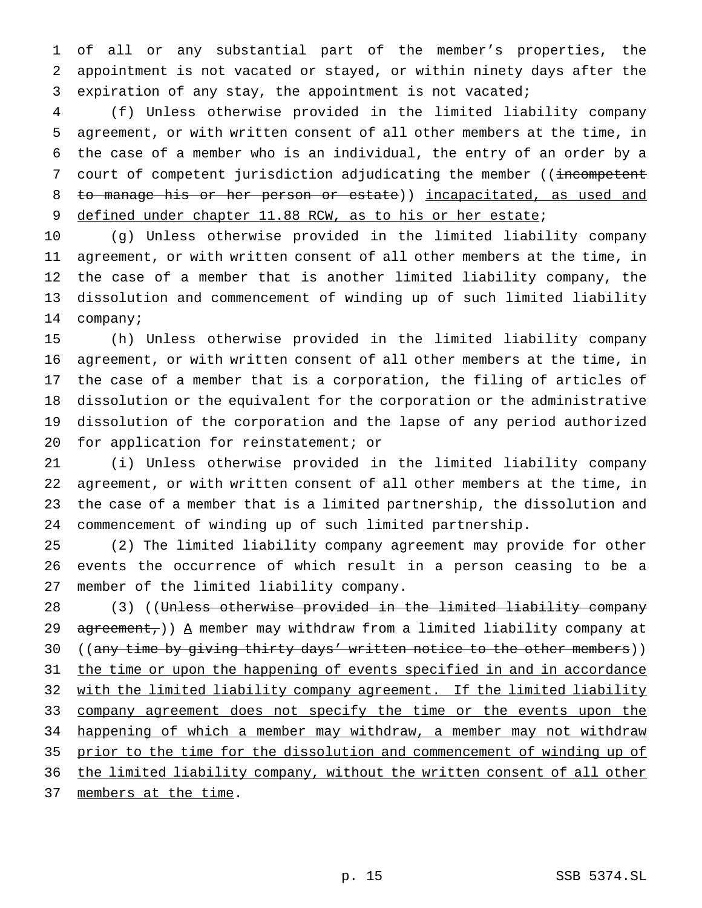of all or any substantial part of the member's properties, the appointment is not vacated or stayed, or within ninety days after the expiration of any stay, the appointment is not vacated;

 (f) Unless otherwise provided in the limited liability company agreement, or with written consent of all other members at the time, in the case of a member who is an individual, the entry of an order by a 7 court of competent jurisdiction adjudicating the member ((incompetent 8 to manage his or her person or estate)) incapacitated, as used and defined under chapter 11.88 RCW, as to his or her estate;

 (g) Unless otherwise provided in the limited liability company agreement, or with written consent of all other members at the time, in the case of a member that is another limited liability company, the dissolution and commencement of winding up of such limited liability company;

 (h) Unless otherwise provided in the limited liability company agreement, or with written consent of all other members at the time, in the case of a member that is a corporation, the filing of articles of dissolution or the equivalent for the corporation or the administrative dissolution of the corporation and the lapse of any period authorized for application for reinstatement; or

 (i) Unless otherwise provided in the limited liability company agreement, or with written consent of all other members at the time, in the case of a member that is a limited partnership, the dissolution and commencement of winding up of such limited partnership.

 (2) The limited liability company agreement may provide for other events the occurrence of which result in a person ceasing to be a member of the limited liability company.

28 (3) ((Unless otherwise provided in the limited liability company 29  $a$ greement,))  $\Delta$  member may withdraw from a limited liability company at 30 ((any time by giving thirty days' written notice to the other members)) 31 the time or upon the happening of events specified in and in accordance with the limited liability company agreement. If the limited liability 33 company agreement does not specify the time or the events upon the 34 happening of which a member may withdraw, a member may not withdraw prior to the time for the dissolution and commencement of winding up of the limited liability company, without the written consent of all other members at the time.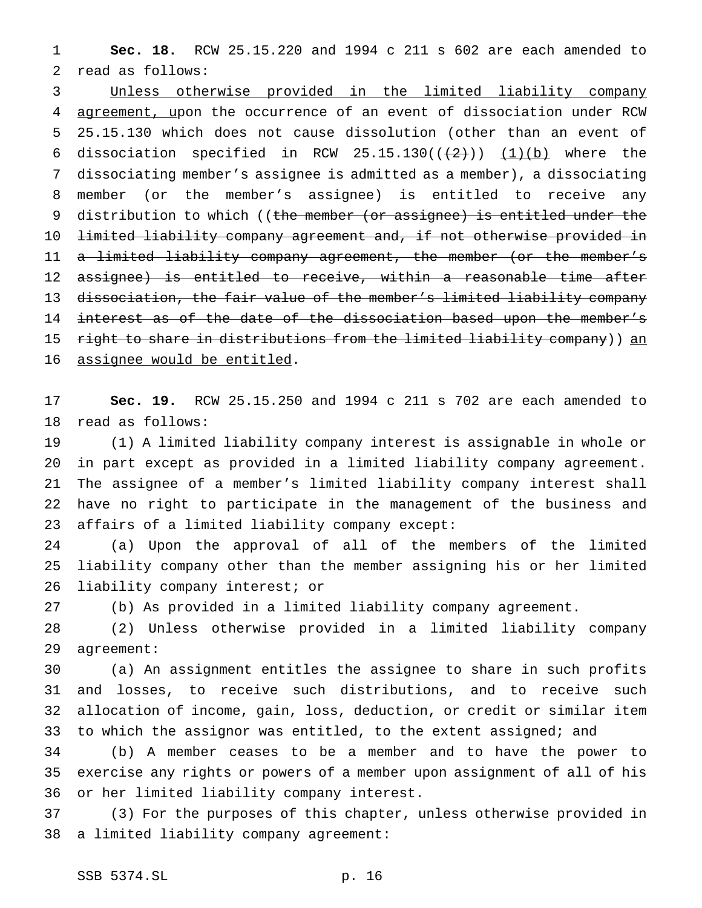**Sec. 18.** RCW 25.15.220 and 1994 c 211 s 602 are each amended to read as follows:

 Unless otherwise provided in the limited liability company 4 agreement, upon the occurrence of an event of dissociation under RCW 25.15.130 which does not cause dissolution (other than an event of 6 dissociation specified in RCW  $25.15.130((+2))$   $(1)(b)$  where the dissociating member's assignee is admitted as a member), a dissociating member (or the member's assignee) is entitled to receive any 9 distribution to which ((the member (or assignee) is entitled under the limited liability company agreement and, if not otherwise provided in a limited liability company agreement, the member (or the member's assignee) is entitled to receive, within a reasonable time after dissociation, the fair value of the member's limited liability company interest as of the date of the dissociation based upon the member's 15 right to share in distributions from the limited liability company) an assignee would be entitled.

 **Sec. 19.** RCW 25.15.250 and 1994 c 211 s 702 are each amended to read as follows:

 (1) A limited liability company interest is assignable in whole or in part except as provided in a limited liability company agreement. The assignee of a member's limited liability company interest shall have no right to participate in the management of the business and affairs of a limited liability company except:

 (a) Upon the approval of all of the members of the limited liability company other than the member assigning his or her limited 26 liability company interest; or

(b) As provided in a limited liability company agreement.

 (2) Unless otherwise provided in a limited liability company agreement:

 (a) An assignment entitles the assignee to share in such profits and losses, to receive such distributions, and to receive such allocation of income, gain, loss, deduction, or credit or similar item 33 to which the assignor was entitled, to the extent assigned; and

 (b) A member ceases to be a member and to have the power to exercise any rights or powers of a member upon assignment of all of his or her limited liability company interest.

 (3) For the purposes of this chapter, unless otherwise provided in a limited liability company agreement: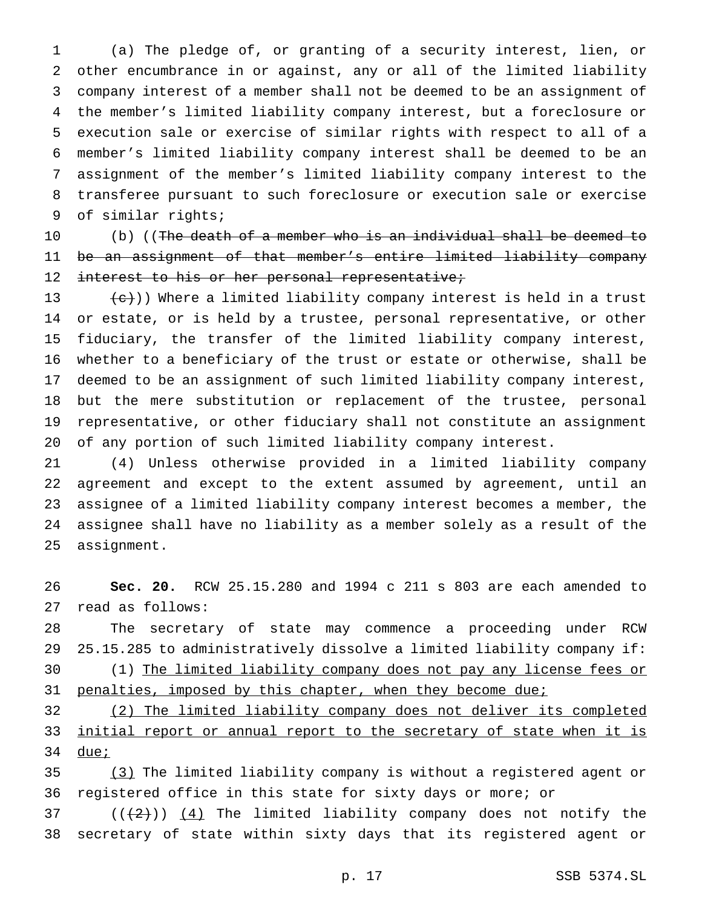(a) The pledge of, or granting of a security interest, lien, or other encumbrance in or against, any or all of the limited liability company interest of a member shall not be deemed to be an assignment of the member's limited liability company interest, but a foreclosure or execution sale or exercise of similar rights with respect to all of a member's limited liability company interest shall be deemed to be an assignment of the member's limited liability company interest to the transferee pursuant to such foreclosure or execution sale or exercise of similar rights;

10 (b) ((The death of a member who is an individual shall be deemed to be an assignment of that member's entire limited liability company 12 interest to his or her personal representative;

 $\{e\})$ ) Where a limited liability company interest is held in a trust or estate, or is held by a trustee, personal representative, or other fiduciary, the transfer of the limited liability company interest, whether to a beneficiary of the trust or estate or otherwise, shall be deemed to be an assignment of such limited liability company interest, but the mere substitution or replacement of the trustee, personal representative, or other fiduciary shall not constitute an assignment of any portion of such limited liability company interest.

 (4) Unless otherwise provided in a limited liability company agreement and except to the extent assumed by agreement, until an assignee of a limited liability company interest becomes a member, the assignee shall have no liability as a member solely as a result of the assignment.

 **Sec. 20.** RCW 25.15.280 and 1994 c 211 s 803 are each amended to read as follows:

 The secretary of state may commence a proceeding under RCW 25.15.285 to administratively dissolve a limited liability company if: (1) The limited liability company does not pay any license fees or 31 penalties, imposed by this chapter, when they become due;

 (2) The limited liability company does not deliver its completed 33 initial report or annual report to the secretary of state when it is 34 due;

 (3) The limited liability company is without a registered agent or registered office in this state for sixty days or more; or

37  $((+2))$   $(4)$  The limited liability company does not notify the secretary of state within sixty days that its registered agent or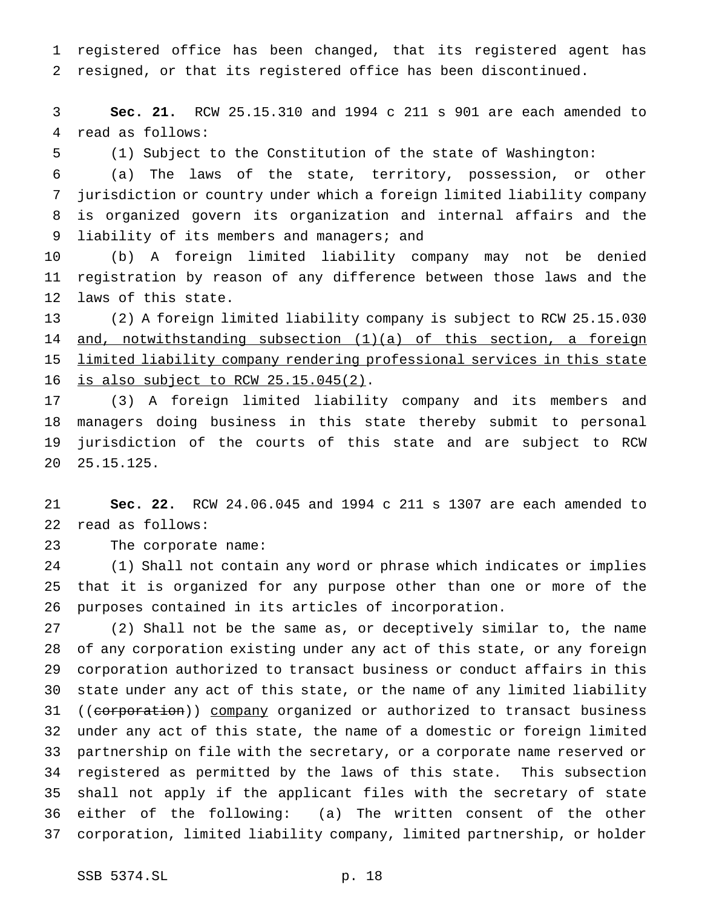registered office has been changed, that its registered agent has resigned, or that its registered office has been discontinued.

 **Sec. 21.** RCW 25.15.310 and 1994 c 211 s 901 are each amended to read as follows:

(1) Subject to the Constitution of the state of Washington:

 (a) The laws of the state, territory, possession, or other jurisdiction or country under which a foreign limited liability company is organized govern its organization and internal affairs and the 9 liability of its members and managers; and

 (b) A foreign limited liability company may not be denied registration by reason of any difference between those laws and the laws of this state.

 (2) A foreign limited liability company is subject to RCW 25.15.030 14 and, notwithstanding subsection (1)(a) of this section, a foreign limited liability company rendering professional services in this state is also subject to RCW 25.15.045(2).

 (3) A foreign limited liability company and its members and managers doing business in this state thereby submit to personal jurisdiction of the courts of this state and are subject to RCW 25.15.125.

 **Sec. 22.** RCW 24.06.045 and 1994 c 211 s 1307 are each amended to read as follows:

The corporate name:

 (1) Shall not contain any word or phrase which indicates or implies that it is organized for any purpose other than one or more of the purposes contained in its articles of incorporation.

 (2) Shall not be the same as, or deceptively similar to, the name of any corporation existing under any act of this state, or any foreign corporation authorized to transact business or conduct affairs in this state under any act of this state, or the name of any limited liability 31 ((corporation)) company organized or authorized to transact business under any act of this state, the name of a domestic or foreign limited partnership on file with the secretary, or a corporate name reserved or registered as permitted by the laws of this state. This subsection shall not apply if the applicant files with the secretary of state either of the following: (a) The written consent of the other corporation, limited liability company, limited partnership, or holder